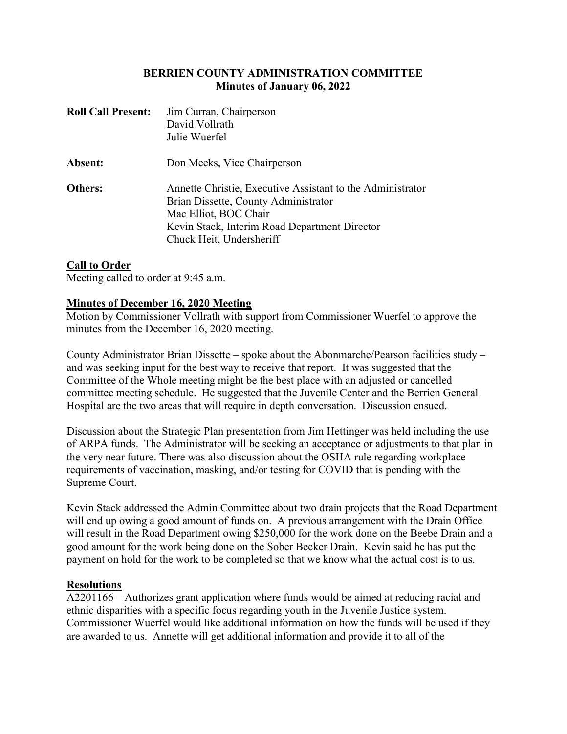## BERRIEN COUNTY ADMINISTRATION COMMITTEE Minutes of January 06, 2022

| <b>Roll Call Present:</b> | Jim Curran, Chairperson<br>David Vollrath<br>Julie Wuerfel                                                                                                                                               |
|---------------------------|----------------------------------------------------------------------------------------------------------------------------------------------------------------------------------------------------------|
| Absent:                   | Don Meeks, Vice Chairperson                                                                                                                                                                              |
| Others:                   | Annette Christie, Executive Assistant to the Administrator<br>Brian Dissette, County Administrator<br>Mac Elliot, BOC Chair<br>Kevin Stack, Interim Road Department Director<br>Chuck Heit, Undersheriff |

## Call to Order

Meeting called to order at 9:45 a.m.

## Minutes of December 16, 2020 Meeting

Motion by Commissioner Vollrath with support from Commissioner Wuerfel to approve the minutes from the December 16, 2020 meeting.

County Administrator Brian Dissette – spoke about the Abonmarche/Pearson facilities study – and was seeking input for the best way to receive that report. It was suggested that the Committee of the Whole meeting might be the best place with an adjusted or cancelled committee meeting schedule. He suggested that the Juvenile Center and the Berrien General Hospital are the two areas that will require in depth conversation. Discussion ensued.

Discussion about the Strategic Plan presentation from Jim Hettinger was held including the use of ARPA funds. The Administrator will be seeking an acceptance or adjustments to that plan in the very near future. There was also discussion about the OSHA rule regarding workplace requirements of vaccination, masking, and/or testing for COVID that is pending with the Supreme Court.

Kevin Stack addressed the Admin Committee about two drain projects that the Road Department will end up owing a good amount of funds on. A previous arrangement with the Drain Office will result in the Road Department owing \$250,000 for the work done on the Beebe Drain and a good amount for the work being done on the Sober Becker Drain. Kevin said he has put the payment on hold for the work to be completed so that we know what the actual cost is to us.

#### Resolutions

A2201166 – Authorizes grant application where funds would be aimed at reducing racial and ethnic disparities with a specific focus regarding youth in the Juvenile Justice system. Commissioner Wuerfel would like additional information on how the funds will be used if they are awarded to us. Annette will get additional information and provide it to all of the